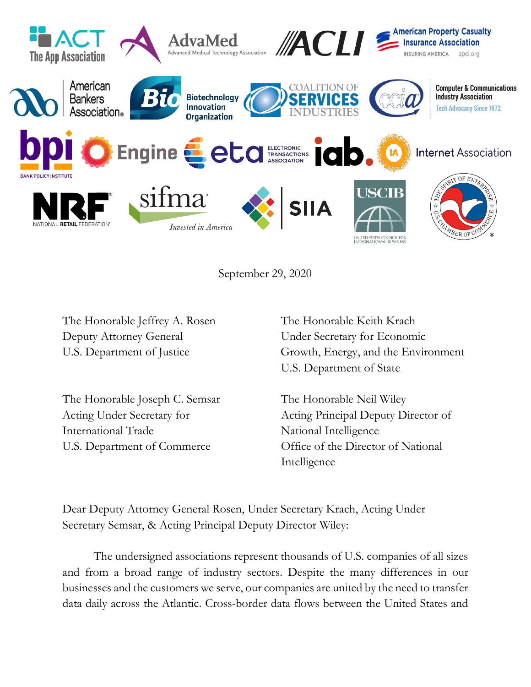

September 29, 2020

The Honorable Jeffrey A. Rosen The Honorable Keith Krach Deputy Attorney General Under Secretary for Economic

The Honorable Joseph C. Semsar The Honorable Neil Wiley International Trade National Intelligence

U.S. Department of Justice Growth, Energy, and the Environment U.S. Department of State

Acting Under Secretary for Acting Principal Deputy Director of U.S. Department of Commerce **Office of the Director of National** Intelligence

Dear Deputy Attorney General Rosen, Under Secretary Krach, Acting Under Secretary Semsar, & Acting Principal Deputy Director Wiley:

The undersigned associations represent thousands of U.S. companies of all sizes and from a broad range of industry sectors. Despite the many differences in our businesses and the customers we serve, our companies are united by the need to transfer data daily across the Atlantic. Cross-border data flows between the United States and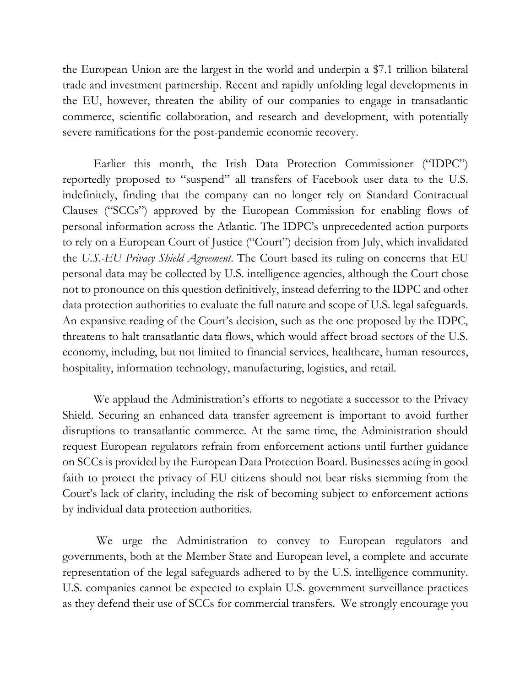the European Union are the largest in the world and underpin a \$7.1 trillion bilateral trade and investment partnership. Recent and rapidly unfolding legal developments in the EU, however, threaten the ability of our companies to engage in transatlantic commerce, scientific collaboration, and research and development, with potentially severe ramifications for the post-pandemic economic recovery.

Earlier this month, the Irish Data Protection Commissioner ("IDPC") reportedly proposed to "suspend" all transfers of Facebook user data to the U.S. indefinitely, finding that the company can no longer rely on Standard Contractual Clauses ("SCCs") approved by the European Commission for enabling flows of personal information across the Atlantic. The IDPC's unprecedented action purports to rely on a European Court of Justice ("Court") decision from July, which invalidated the *U.S.-EU Privacy Shield Agreement*. The Court based its ruling on concerns that EU personal data may be collected by U.S. intelligence agencies, although the Court chose not to pronounce on this question definitively, instead deferring to the IDPC and other data protection authorities to evaluate the full nature and scope of U.S. legal safeguards. An expansive reading of the Court's decision, such as the one proposed by the IDPC, threatens to halt transatlantic data flows, which would affect broad sectors of the U.S. economy, including, but not limited to financial services, healthcare, human resources, hospitality, information technology, manufacturing, logistics, and retail.

We applaud the Administration's efforts to negotiate a successor to the Privacy Shield. Securing an enhanced data transfer agreement is important to avoid further disruptions to transatlantic commerce. At the same time, the Administration should request European regulators refrain from enforcement actions until further guidance on SCCs is provided by the European Data Protection Board. Businesses acting in good faith to protect the privacy of EU citizens should not bear risks stemming from the Court's lack of clarity, including the risk of becoming subject to enforcement actions by individual data protection authorities.

We urge the Administration to convey to European regulators and governments, both at the Member State and European level, a complete and accurate representation of the legal safeguards adhered to by the U.S. intelligence community. U.S. companies cannot be expected to explain U.S. government surveillance practices as they defend their use of SCCs for commercial transfers. We strongly encourage you